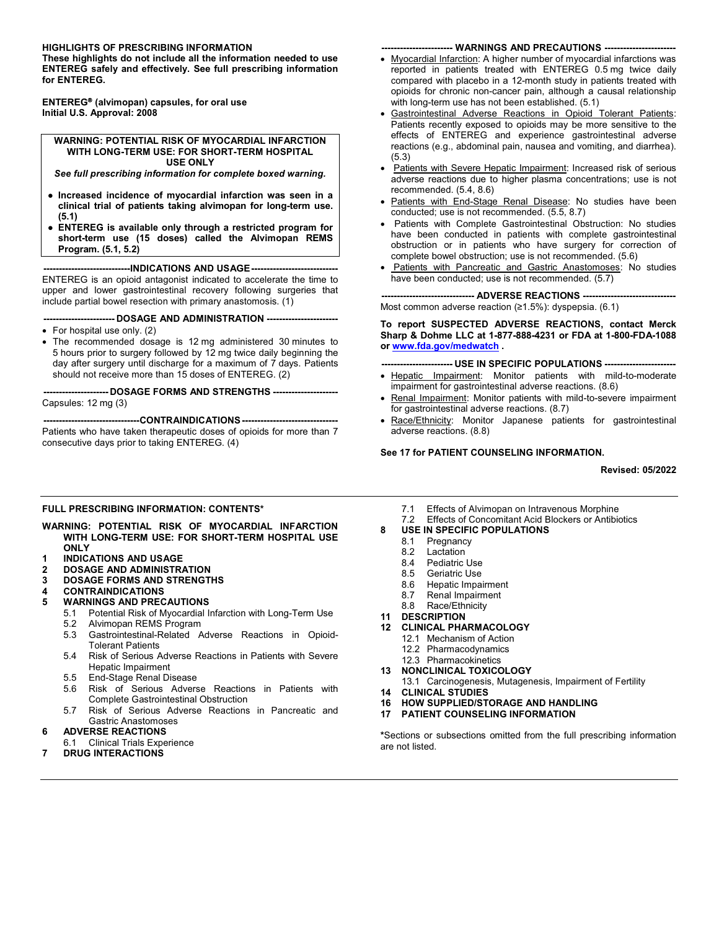#### **HIGHLIGHTS OF PRESCRIBING INFORMATION**

**These highlights do not include all the information needed to use ENTEREG safely and effectively. See full prescribing information for ENTEREG.**

**ENTEREG (alvimopan) capsules, for oral use Initial U.S. Approval: 2008**

#### **WARNING: POTENTIAL RISK OF MYOCARDIAL INFARCTION WITH LONG-TERM USE: FOR SHORT-TERM HOSPITAL USE ONLY**

*See full prescribing information for complete boxed warning.*

- **● Increased incidence of myocardial infarction was seen in a clinical trial of patients taking alvimopan for long-term use. (5.1)**
- **● ENTEREG is available only through a restricted program for short-term use (15 doses) called the Alvimopan REMS Program. (5.1, 5.2)**

**----------------------------INDICATIONS AND USAGE----------------------------**

ENTEREG is an opioid antagonist indicated to accelerate the time to upper and lower gastrointestinal recovery following surgeries that include partial bowel resection with primary anastomosis. (1)

**----------------------- DOSAGE AND ADMINISTRATION -----------------------**

- For hospital use only. (2)
- The recommended dosage is 12 mg administered 30 minutes to 5 hours prior to surgery followed by 12 mg twice daily beginning the day after surgery until discharge for a maximum of 7 days. Patients should not receive more than 15 doses of ENTEREG. (2)

**--------------------- DOSAGE FORMS AND STRENGTHS ---------------------** Capsules: 12 mg (3)

**-------------------------------CONTRAINDICATIONS -------------------------------** Patients who have taken therapeutic doses of opioids for more than 7 consecutive days prior to taking ENTEREG. (4)

### **----------------------- WARNINGS AND PRECAUTIONS -----------------------**

- Myocardial Infarction: A higher number of myocardial infarctions was reported in patients treated with ENTEREG 0.5 mg twice daily compared with placebo in a 12-month study in patients treated with opioids for chronic non-cancer pain, although a causal relationship with long-term use has not been established. (5.1)
- Gastrointestinal Adverse Reactions in Opioid Tolerant Patients: Patients recently exposed to opioids may be more sensitive to the effects of ENTEREG and experience gastrointestinal adverse reactions (e.g., abdominal pain, nausea and vomiting, and diarrhea). (5.3)
- Patients with Severe Hepatic Impairment: Increased risk of serious adverse reactions due to higher plasma concentrations; use is not recommended. (5.4, 8.6)
- Patients with End-Stage Renal Disease: No studies have been conducted; use is not recommended. (5.5, 8.7)
- Patients with Complete Gastrointestinal Obstruction: No studies have been conducted in patients with complete gastrointestinal obstruction or in patients who have surgery for correction of complete bowel obstruction; use is not recommended. (5.6)
- Patients with Pancreatic and Gastric Anastomoses: No studies have been conducted; use is not recommended. (5.7)

**------------------------------ ADVERSE REACTIONS ------------------------------** Most common adverse reaction (≥1.5%): dyspepsia. (6.1)

**To report SUSPECTED ADVERSE REACTIONS, contact Merck Sharp & Dohme LLC at 1-877-888-4231 or FDA at 1-800-FDA-1088 or [www.fda.gov/medwatch](http://www.fda.gov/medwatch) .**

**----------------------- USE IN SPECIFIC POPULATIONS -----------------------**

- Hepatic Impairment: Monitor patients with mild-to-moderate impairment for gastrointestinal adverse reactions. (8.6)
- Renal Impairment: Monitor patients with mild-to-severe impairment for gastrointestinal adverse reactions. (8.7)
- Race/Ethnicity: Monitor Japanese patients for gastrointestinal adverse reactions. (8.8)

#### **See 17 for PATIENT COUNSELING INFORMATION.**

**Revised: 05/2022**

### **FULL PRESCRIBING INFORMATION: CONTENTS\***

#### **WARNING: POTENTIAL RISK OF MYOCARDIAL INFARCTION WITH LONG-TERM USE: FOR SHORT-TERM HOSPITAL USE ONLY**

- **1 INDICATIONS AND USAGE**
- **2 DOSAGE AND ADMINISTRATION**
- **3 DOSAGE FORMS AND STRENGTHS**
- **4 CONTRAINDICATIONS**

#### **5 WARNINGS AND PRECAUTIONS**

- 5.1 Potential Risk of Myocardial Infarction with Long-Term Use<br>5.2 Alvimopan RFMS Program
	- 5.2 Alvimopan REMS Program<br>5.3 Gastrointestinal-Related A
	- 5.3 Gastrointestinal-Related Adverse Reactions in Opioid-Tolerant Patients
	- 5.4 Risk of Serious Adverse Reactions in Patients with Severe Hepatic Impairment
	- 5.5 End-Stage Renal Disease
	- 5.6 Risk of Serious Adverse Reactions in Patients with Complete Gastrointestinal Obstruction
	- 5.7 Risk of Serious Adverse Reactions in Pancreatic and Gastric Anastomoses

#### **6 ADVERSE REACTIONS**

- 6.1 Clinical Trials Experience
- **7 DRUG INTERACTIONS**
- 7.1 Effects of Alvimopan on Intravenous Morphine
- 7.2 Effects of Concomitant Acid Blockers or Antibiotics

# **8 USE IN SPECIFIC POPULATIONS**

- 8.1 Pregnancy<br>8.2 Lactation
- Lactation
- 8.4 Pediatric Use<br>8.5 Geriatric Use
- **Geriatric Use**
- 8.6 Hepatic Impairment
- 8.7 Renal Impairment
- 8.8 Race/Ethnicity
- **11 DESCRIPTION**
- **12 CLINICAL PHARMACOLOGY**
	- 12.1 Mechanism of Action 12.2 Pharmacodynamics
	-
	- 12.3 Pharmacokinetics
- **13 NONCLINICAL TOXICOLOGY**
	- 13.1 Carcinogenesis, Mutagenesis, Impairment of Fertility
- **14 CLINICAL STUDIES**
- **16 HOW SUPPLIED/STORAGE AND HANDLING**
- **17 PATIENT COUNSELING INFORMATION**

**\***Sections or subsections omitted from the full prescribing information are not listed.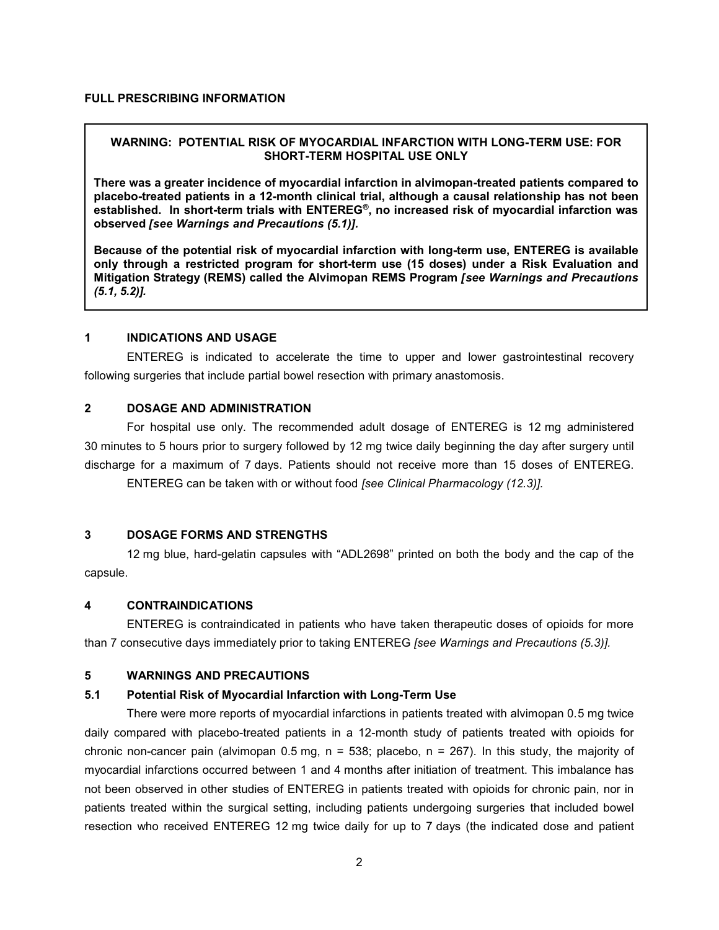# **WARNING: POTENTIAL RISK OF MYOCARDIAL INFARCTION WITH LONG-TERM USE: FOR SHORT-TERM HOSPITAL USE ONLY**

**There was a greater incidence of myocardial infarction in alvimopan-treated patients compared to placebo-treated patients in a 12-month clinical trial, although a causal relationship has not been established. In short-term trials with ENTEREG®, no increased risk of myocardial infarction was observed** *[see Warnings and Precautions (5.1)].*

**Because of the potential risk of myocardial infarction with long-term use, ENTEREG is available only through a restricted program for short-term use (15 doses) under a Risk Evaluation and Mitigation Strategy (REMS) called the Alvimopan REMS Program** *[see Warnings and Precautions (5.1, 5.2)].* 

# **1 INDICATIONS AND USAGE**

ENTEREG is indicated to accelerate the time to upper and lower gastrointestinal recovery following surgeries that include partial bowel resection with primary anastomosis.

# **2 DOSAGE AND ADMINISTRATION**

For hospital use only. The recommended adult dosage of ENTEREG is 12 mg administered 30 minutes to 5 hours prior to surgery followed by 12 mg twice daily beginning the day after surgery until discharge for a maximum of 7 days. Patients should not receive more than 15 doses of ENTEREG.

ENTEREG can be taken with or without food *[see Clinical Pharmacology (12.3)].*

# **3 DOSAGE FORMS AND STRENGTHS**

12 mg blue, hard-gelatin capsules with "ADL2698" printed on both the body and the cap of the capsule.

### **4 CONTRAINDICATIONS**

ENTEREG is contraindicated in patients who have taken therapeutic doses of opioids for more than 7 consecutive days immediately prior to taking ENTEREG *[see Warnings and Precautions (5.3)].*

# **5 WARNINGS AND PRECAUTIONS**

# **5.1 Potential Risk of Myocardial Infarction with Long-Term Use**

There were more reports of myocardial infarctions in patients treated with alvimopan 0.5 mg twice daily compared with placebo-treated patients in a 12-month study of patients treated with opioids for chronic non-cancer pain (alvimopan 0.5 mg,  $n = 538$ ; placebo,  $n = 267$ ). In this study, the majority of myocardial infarctions occurred between 1 and 4 months after initiation of treatment. This imbalance has not been observed in other studies of ENTEREG in patients treated with opioids for chronic pain, nor in patients treated within the surgical setting, including patients undergoing surgeries that included bowel resection who received ENTEREG 12 mg twice daily for up to 7 days (the indicated dose and patient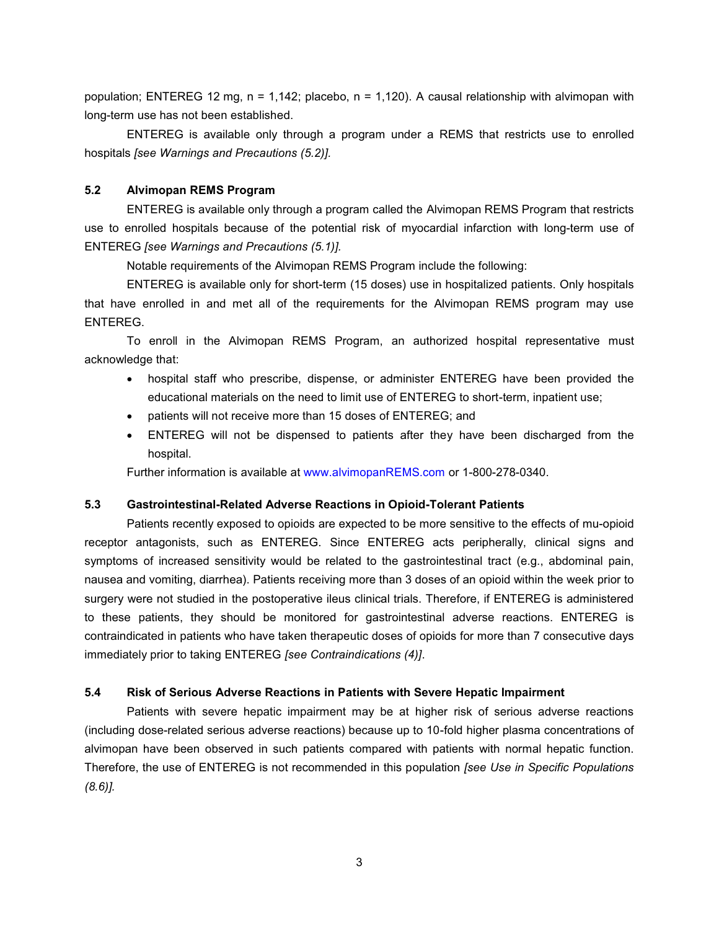population; ENTEREG 12 mg, n = 1,142; placebo, n = 1,120). A causal relationship with alvimopan with long-term use has not been established.

ENTEREG is available only through a program under a REMS that restricts use to enrolled hospitals *[see Warnings and Precautions (5.2)].*

# **5.2 Alvimopan REMS Program**

ENTEREG is available only through a program called the Alvimopan REMS Program that restricts use to enrolled hospitals because of the potential risk of myocardial infarction with long-term use of ENTEREG *[see Warnings and Precautions (5.1)].*

Notable requirements of the Alvimopan REMS Program include the following:

ENTEREG is available only for short-term (15 doses) use in hospitalized patients. Only hospitals that have enrolled in and met all of the requirements for the Alvimopan REMS program may use ENTEREG.

To enroll in the Alvimopan REMS Program, an authorized hospital representative must acknowledge that:

- hospital staff who prescribe, dispense, or administer ENTEREG have been provided the educational materials on the need to limit use of ENTEREG to short-term, inpatient use;
- patients will not receive more than 15 doses of ENTEREG; and
- ENTEREG will not be dispensed to patients after they have been discharged from the hospital.

Further information is available at [www.alvimopanREMS.com](http://www.alvimopanrems.com/) or 1-800-278-0340.

# **5.3 Gastrointestinal-Related Adverse Reactions in Opioid-Tolerant Patients**

Patients recently exposed to opioids are expected to be more sensitive to the effects of mu-opioid receptor antagonists, such as ENTEREG. Since ENTEREG acts peripherally, clinical signs and symptoms of increased sensitivity would be related to the gastrointestinal tract (e.g., abdominal pain, nausea and vomiting, diarrhea). Patients receiving more than 3 doses of an opioid within the week prior to surgery were not studied in the postoperative ileus clinical trials. Therefore, if ENTEREG is administered to these patients, they should be monitored for gastrointestinal adverse reactions. ENTEREG is contraindicated in patients who have taken therapeutic doses of opioids for more than 7 consecutive days immediately prior to taking ENTEREG *[see Contraindications (4)]*.

# **5.4 Risk of Serious Adverse Reactions in Patients with Severe Hepatic Impairment**

Patients with severe hepatic impairment may be at higher risk of serious adverse reactions (including dose-related serious adverse reactions) because up to 10-fold higher plasma concentrations of alvimopan have been observed in such patients compared with patients with normal hepatic function. Therefore, the use of ENTEREG is not recommended in this population *[see Use in Specific Populations (8.6)].*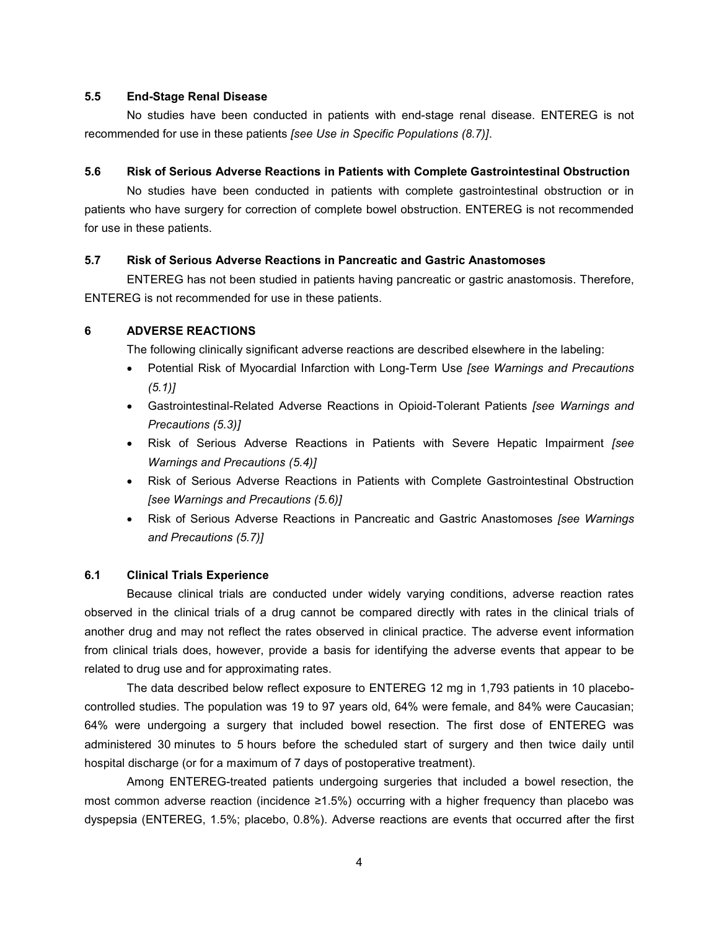### **5.5 End-Stage Renal Disease**

No studies have been conducted in patients with end-stage renal disease. ENTEREG is not recommended for use in these patients *[see Use in Specific Populations (8.7)]*.

### **5.6 Risk of Serious Adverse Reactions in Patients with Complete Gastrointestinal Obstruction**

No studies have been conducted in patients with complete gastrointestinal obstruction or in patients who have surgery for correction of complete bowel obstruction. ENTEREG is not recommended for use in these patients.

# **5.7 Risk of Serious Adverse Reactions in Pancreatic and Gastric Anastomoses**

ENTEREG has not been studied in patients having pancreatic or gastric anastomosis. Therefore, ENTEREG is not recommended for use in these patients.

# **6 ADVERSE REACTIONS**

The following clinically significant adverse reactions are described elsewhere in the labeling:

- Potential Risk of Myocardial Infarction with Long-Term Use *[see Warnings and Precautions (5.1)]*
- Gastrointestinal-Related Adverse Reactions in Opioid-Tolerant Patients *[see Warnings and Precautions (5.3)]*
- Risk of Serious Adverse Reactions in Patients with Severe Hepatic Impairment *[see Warnings and Precautions (5.4)]*
- Risk of Serious Adverse Reactions in Patients with Complete Gastrointestinal Obstruction *[see Warnings and Precautions (5.6)]*
- Risk of Serious Adverse Reactions in Pancreatic and Gastric Anastomoses *[see Warnings and Precautions (5.7)]*

# **6.1 Clinical Trials Experience**

Because clinical trials are conducted under widely varying conditions, adverse reaction rates observed in the clinical trials of a drug cannot be compared directly with rates in the clinical trials of another drug and may not reflect the rates observed in clinical practice. The adverse event information from clinical trials does, however, provide a basis for identifying the adverse events that appear to be related to drug use and for approximating rates.

The data described below reflect exposure to ENTEREG 12 mg in 1,793 patients in 10 placebocontrolled studies. The population was 19 to 97 years old, 64% were female, and 84% were Caucasian; 64% were undergoing a surgery that included bowel resection. The first dose of ENTEREG was administered 30 minutes to 5 hours before the scheduled start of surgery and then twice daily until hospital discharge (or for a maximum of 7 days of postoperative treatment).

Among ENTEREG-treated patients undergoing surgeries that included a bowel resection, the most common adverse reaction (incidence ≥1.5%) occurring with a higher frequency than placebo was dyspepsia (ENTEREG, 1.5%; placebo, 0.8%). Adverse reactions are events that occurred after the first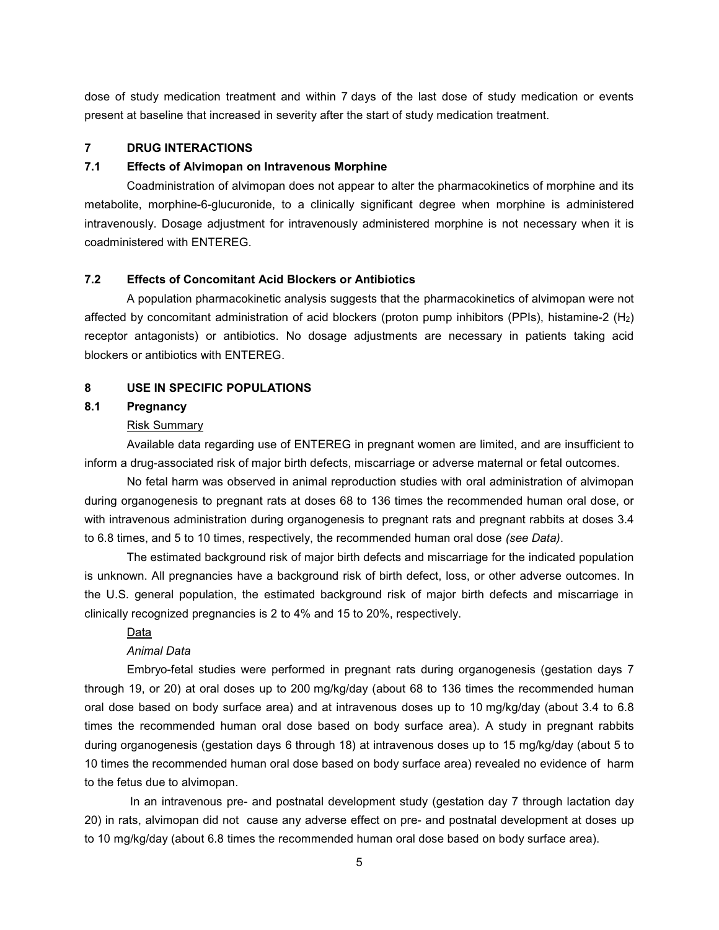dose of study medication treatment and within 7 days of the last dose of study medication or events present at baseline that increased in severity after the start of study medication treatment.

### **7 DRUG INTERACTIONS**

# **7.1 Effects of Alvimopan on Intravenous Morphine**

Coadministration of alvimopan does not appear to alter the pharmacokinetics of morphine and its metabolite, morphine-6-glucuronide, to a clinically significant degree when morphine is administered intravenously. Dosage adjustment for intravenously administered morphine is not necessary when it is coadministered with ENTEREG.

# **7.2 Effects of Concomitant Acid Blockers or Antibiotics**

A population pharmacokinetic analysis suggests that the pharmacokinetics of alvimopan were not affected by concomitant administration of acid blockers (proton pump inhibitors (PPIs), histamine-2 (H2) receptor antagonists) or antibiotics. No dosage adjustments are necessary in patients taking acid blockers or antibiotics with ENTEREG.

# **8 USE IN SPECIFIC POPULATIONS**

# **8.1 Pregnancy**

### Risk Summary

Available data regarding use of ENTEREG in pregnant women are limited, and are insufficient to inform a drug-associated risk of major birth defects, miscarriage or adverse maternal or fetal outcomes.

No fetal harm was observed in animal reproduction studies with oral administration of alvimopan during organogenesis to pregnant rats at doses 68 to 136 times the recommended human oral dose, or with intravenous administration during organogenesis to pregnant rats and pregnant rabbits at doses 3.4 to 6.8 times, and 5 to 10 times, respectively, the recommended human oral dose *(see Data)*.

The estimated background risk of major birth defects and miscarriage for the indicated population is unknown. All pregnancies have a background risk of birth defect, loss, or other adverse outcomes. In the U.S. general population, the estimated background risk of major birth defects and miscarriage in clinically recognized pregnancies is 2 to 4% and 15 to 20%, respectively.

### Data

# *Animal Data*

Embryo-fetal studies were performed in pregnant rats during organogenesis (gestation days 7 through 19, or 20) at oral doses up to 200 mg/kg/day (about 68 to 136 times the recommended human oral dose based on body surface area) and at intravenous doses up to 10 mg/kg/day (about 3.4 to 6.8 times the recommended human oral dose based on body surface area). A study in pregnant rabbits during organogenesis (gestation days 6 through 18) at intravenous doses up to 15 mg/kg/day (about 5 to 10 times the recommended human oral dose based on body surface area) revealed no evidence of harm to the fetus due to alvimopan.

In an intravenous pre- and postnatal development study (gestation day 7 through lactation day 20) in rats, alvimopan did not cause any adverse effect on pre- and postnatal development at doses up to 10 mg/kg/day (about 6.8 times the recommended human oral dose based on body surface area).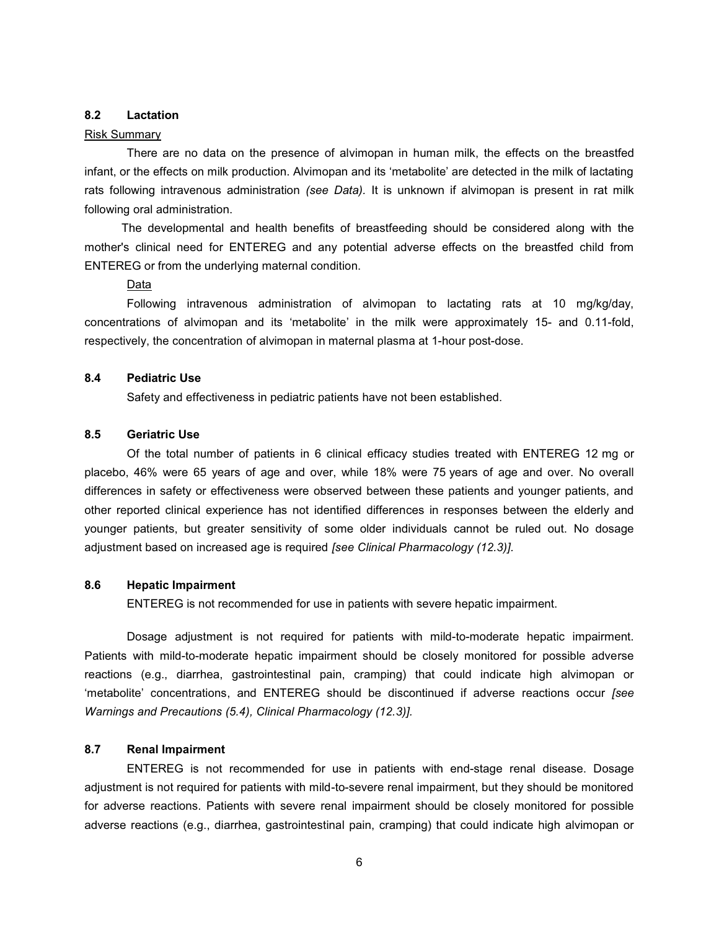### **8.2 Lactation**

### Risk Summary

There are no data on the presence of alvimopan in human milk, the effects on the breastfed infant, or the effects on milk production. Alvimopan and its 'metabolite' are detected in the milk of lactating rats following intravenous administration *(see Data).* It is unknown if alvimopan is present in rat milk following oral administration.

The developmental and health benefits of breastfeeding should be considered along with the mother's clinical need for ENTEREG and any potential adverse effects on the breastfed child from ENTEREG or from the underlying maternal condition.

# Data

Following intravenous administration of alvimopan to lactating rats at 10 mg/kg/day, concentrations of alvimopan and its 'metabolite' in the milk were approximately 15- and 0.11-fold, respectively, the concentration of alvimopan in maternal plasma at 1-hour post-dose.

## **8.4 Pediatric Use**

Safety and effectiveness in pediatric patients have not been established.

# **8.5 Geriatric Use**

Of the total number of patients in 6 clinical efficacy studies treated with ENTEREG 12 mg or placebo, 46% were 65 years of age and over, while 18% were 75 years of age and over. No overall differences in safety or effectiveness were observed between these patients and younger patients, and other reported clinical experience has not identified differences in responses between the elderly and younger patients, but greater sensitivity of some older individuals cannot be ruled out. No dosage adjustment based on increased age is required *[see Clinical Pharmacology (12.3)].*

# **8.6 Hepatic Impairment**

ENTEREG is not recommended for use in patients with severe hepatic impairment.

Dosage adjustment is not required for patients with mild-to-moderate hepatic impairment. Patients with mild-to-moderate hepatic impairment should be closely monitored for possible adverse reactions (e.g., diarrhea, gastrointestinal pain, cramping) that could indicate high alvimopan or 'metabolite' concentrations, and ENTEREG should be discontinued if adverse reactions occur *[see Warnings and Precautions (5.4), Clinical Pharmacology (12.3)].*

# **8.7 Renal Impairment**

ENTEREG is not recommended for use in patients with end-stage renal disease. Dosage adjustment is not required for patients with mild-to-severe renal impairment, but they should be monitored for adverse reactions. Patients with severe renal impairment should be closely monitored for possible adverse reactions (e.g., diarrhea, gastrointestinal pain, cramping) that could indicate high alvimopan or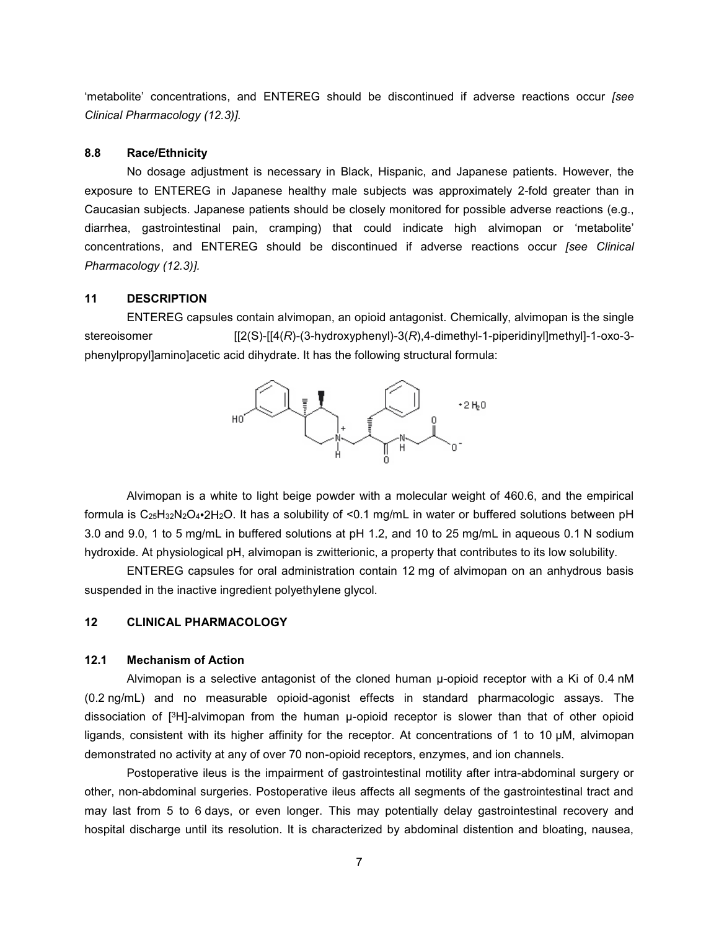'metabolite' concentrations, and ENTEREG should be discontinued if adverse reactions occur *[see Clinical Pharmacology (12.3)].*

# **8.8 Race/Ethnicity**

No dosage adjustment is necessary in Black, Hispanic, and Japanese patients. However, the exposure to ENTEREG in Japanese healthy male subjects was approximately 2-fold greater than in Caucasian subjects. Japanese patients should be closely monitored for possible adverse reactions (e.g., diarrhea, gastrointestinal pain, cramping) that could indicate high alvimopan or 'metabolite' concentrations, and ENTEREG should be discontinued if adverse reactions occur *[see Clinical Pharmacology (12.3)].*

### **11 DESCRIPTION**

ENTEREG capsules contain alvimopan, an opioid antagonist. Chemically, alvimopan is the single stereoisomer [[2(S)-[[4(*R*)-(3-hydroxyphenyl)-3(*R*),4-dimethyl-1-piperidinyl]methyl]-1-oxo-3 phenylpropyl]amino]acetic acid dihydrate. It has the following structural formula:



Alvimopan is a white to light beige powder with a molecular weight of 460.6, and the empirical formula is C25H32N2O4•2H2O. It has a solubility of <0.1 mg/mL in water or buffered solutions between pH 3.0 and 9.0, 1 to 5 mg/mL in buffered solutions at pH 1.2, and 10 to 25 mg/mL in aqueous 0.1 N sodium hydroxide. At physiological pH, alvimopan is zwitterionic, a property that contributes to its low solubility.

ENTEREG capsules for oral administration contain 12 mg of alvimopan on an anhydrous basis suspended in the inactive ingredient polyethylene glycol.

### **12 CLINICAL PHARMACOLOGY**

### **12.1 Mechanism of Action**

Alvimopan is a selective antagonist of the cloned human μ-opioid receptor with a Ki of 0.4 nM (0.2 ng/mL) and no measurable opioid-agonist effects in standard pharmacologic assays. The dissociation of [ <sup>3</sup>H]-alvimopan from the human μ-opioid receptor is slower than that of other opioid ligands, consistent with its higher affinity for the receptor. At concentrations of 1 to 10 µM, alvimopan demonstrated no activity at any of over 70 non-opioid receptors, enzymes, and ion channels.

Postoperative ileus is the impairment of gastrointestinal motility after intra-abdominal surgery or other, non-abdominal surgeries. Postoperative ileus affects all segments of the gastrointestinal tract and may last from 5 to 6 days, or even longer. This may potentially delay gastrointestinal recovery and hospital discharge until its resolution. It is characterized by abdominal distention and bloating, nausea,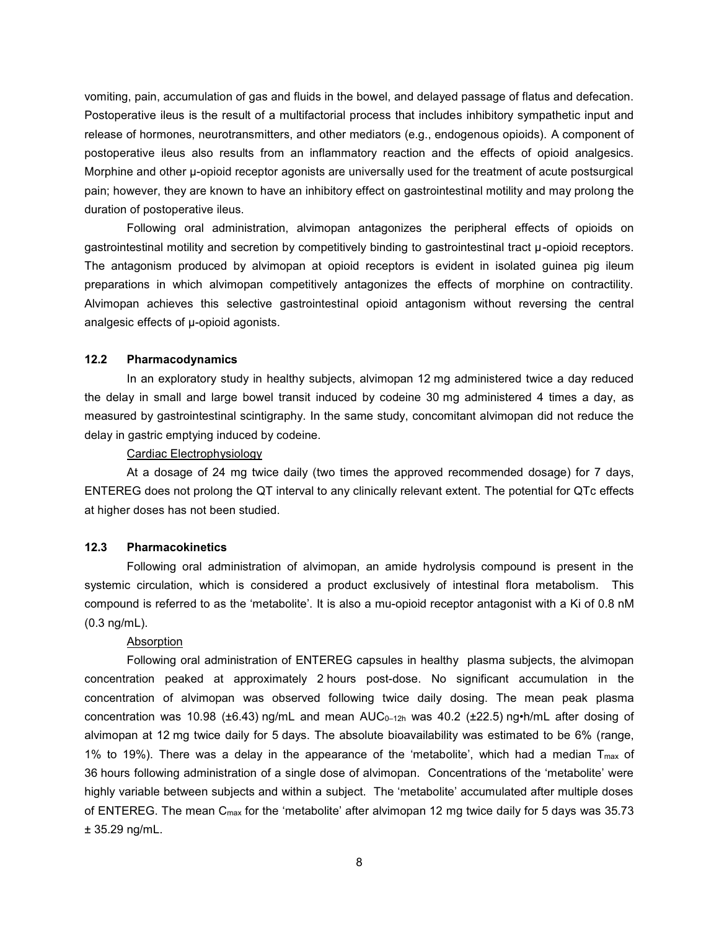vomiting, pain, accumulation of gas and fluids in the bowel, and delayed passage of flatus and defecation. Postoperative ileus is the result of a multifactorial process that includes inhibitory sympathetic input and release of hormones, neurotransmitters, and other mediators (e.g., endogenous opioids). A component of postoperative ileus also results from an inflammatory reaction and the effects of opioid analgesics. Morphine and other μ-opioid receptor agonists are universally used for the treatment of acute postsurgical pain; however, they are known to have an inhibitory effect on gastrointestinal motility and may prolong the duration of postoperative ileus.

Following oral administration, alvimopan antagonizes the peripheral effects of opioids on gastrointestinal motility and secretion by competitively binding to gastrointestinal tract μ-opioid receptors. The antagonism produced by alvimopan at opioid receptors is evident in isolated guinea pig ileum preparations in which alvimopan competitively antagonizes the effects of morphine on contractility. Alvimopan achieves this selective gastrointestinal opioid antagonism without reversing the central analgesic effects of μ-opioid agonists.

# **12.2 Pharmacodynamics**

In an exploratory study in healthy subjects, alvimopan 12 mg administered twice a day reduced the delay in small and large bowel transit induced by codeine 30 mg administered 4 times a day, as measured by gastrointestinal scintigraphy. In the same study, concomitant alvimopan did not reduce the delay in gastric emptying induced by codeine.

### Cardiac Electrophysiology

At a dosage of 24 mg twice daily (two times the approved recommended dosage) for 7 days, ENTEREG does not prolong the QT interval to any clinically relevant extent. The potential for QTc effects at higher doses has not been studied.

### **12.3 Pharmacokinetics**

Following oral administration of alvimopan, an amide hydrolysis compound is present in the systemic circulation, which is considered a product exclusively of intestinal flora metabolism. This compound is referred to as the 'metabolite'. It is also a mu-opioid receptor antagonist with a Ki of 0.8 nM (0.3 ng/mL).

#### Absorption

Following oral administration of ENTEREG capsules in healthy plasma subjects, the alvimopan concentration peaked at approximately 2 hours post-dose. No significant accumulation in the concentration of alvimopan was observed following twice daily dosing. The mean peak plasma concentration was 10.98 ( $\pm$ 6.43) ng/mL and mean AUC<sub>0-12h</sub> was 40.2 ( $\pm$ 22.5) ng•h/mL after dosing of alvimopan at 12 mg twice daily for 5 days. The absolute bioavailability was estimated to be 6% (range, 1% to 19%). There was a delay in the appearance of the 'metabolite', which had a median  $T_{max}$  of 36 hours following administration of a single dose of alvimopan. Concentrations of the 'metabolite' were highly variable between subjects and within a subject. The 'metabolite' accumulated after multiple doses of ENTEREG. The mean C<sub>max</sub> for the 'metabolite' after alvimopan 12 mg twice daily for 5 days was 35.73 ± 35.29 ng/mL.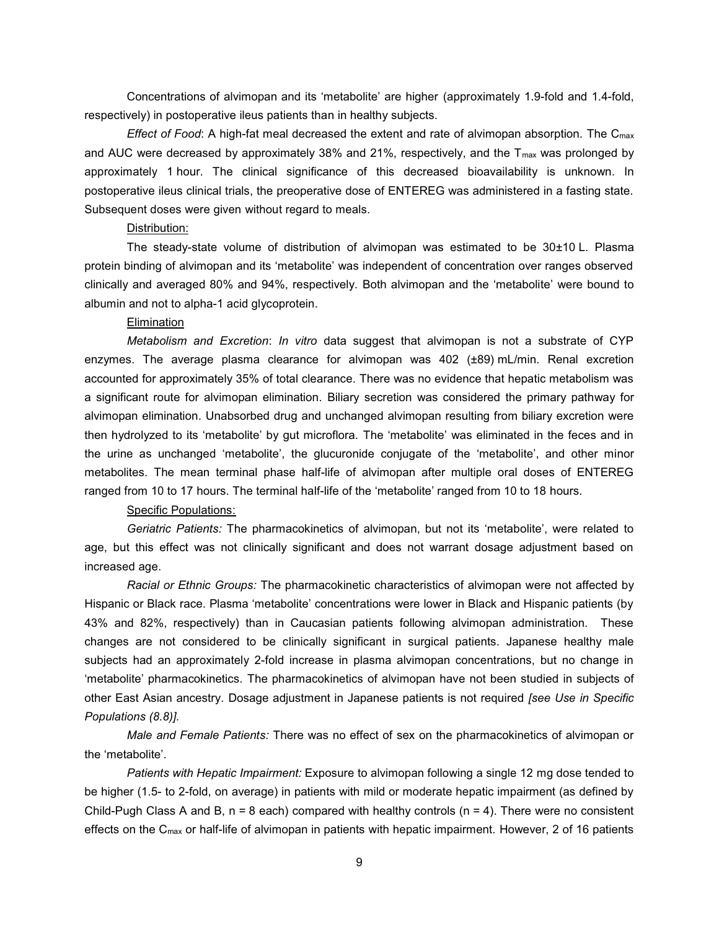Concentrations of alvimopan and its 'metabolite' are higher (approximately 1.9-fold and 1.4-fold, respectively) in postoperative ileus patients than in healthy subjects.

*Effect of Food*: A high-fat meal decreased the extent and rate of alvimopan absorption. The C<sub>max</sub> and AUC were decreased by approximately 38% and 21%, respectively, and the  $T_{\text{max}}$  was prolonged by approximately 1 hour. The clinical significance of this decreased bioavailability is unknown. In postoperative ileus clinical trials, the preoperative dose of ENTEREG was administered in a fasting state. Subsequent doses were given without regard to meals.

### Distribution:

The steady-state volume of distribution of alvimopan was estimated to be 30±10 L. Plasma protein binding of alvimopan and its 'metabolite' was independent of concentration over ranges observed clinically and averaged 80% and 94%, respectively. Both alvimopan and the 'metabolite' were bound to albumin and not to alpha-1 acid glycoprotein.

#### **Elimination**

*Metabolism and Excretion*: *In vitro* data suggest that alvimopan is not a substrate of CYP enzymes. The average plasma clearance for alvimopan was 402 (±89) mL/min. Renal excretion accounted for approximately 35% of total clearance. There was no evidence that hepatic metabolism was a significant route for alvimopan elimination. Biliary secretion was considered the primary pathway for alvimopan elimination. Unabsorbed drug and unchanged alvimopan resulting from biliary excretion were then hydrolyzed to its 'metabolite' by gut microflora. The 'metabolite' was eliminated in the feces and in the urine as unchanged 'metabolite', the glucuronide conjugate of the 'metabolite', and other minor metabolites. The mean terminal phase half-life of alvimopan after multiple oral doses of ENTEREG ranged from 10 to 17 hours. The terminal half-life of the 'metabolite' ranged from 10 to 18 hours.

### Specific Populations:

*Geriatric Patients:* The pharmacokinetics of alvimopan, but not its 'metabolite', were related to age, but this effect was not clinically significant and does not warrant dosage adjustment based on increased age.

*Racial or Ethnic Groups:* The pharmacokinetic characteristics of alvimopan were not affected by Hispanic or Black race. Plasma 'metabolite' concentrations were lower in Black and Hispanic patients (by 43% and 82%, respectively) than in Caucasian patients following alvimopan administration. These changes are not considered to be clinically significant in surgical patients. Japanese healthy male subjects had an approximately 2-fold increase in plasma alvimopan concentrations, but no change in 'metabolite' pharmacokinetics. The pharmacokinetics of alvimopan have not been studied in subjects of other East Asian ancestry. Dosage adjustment in Japanese patients is not required *[see Use in Specific Populations (8.8)].*

*Male and Female Patients:* There was no effect of sex on the pharmacokinetics of alvimopan or the 'metabolite'.

*Patients with Hepatic Impairment:* Exposure to alvimopan following a single 12 mg dose tended to be higher (1.5- to 2-fold, on average) in patients with mild or moderate hepatic impairment (as defined by Child-Pugh Class A and B,  $n = 8$  each) compared with healthy controls ( $n = 4$ ). There were no consistent effects on the Cmax or half-life of alvimopan in patients with hepatic impairment. However, 2 of 16 patients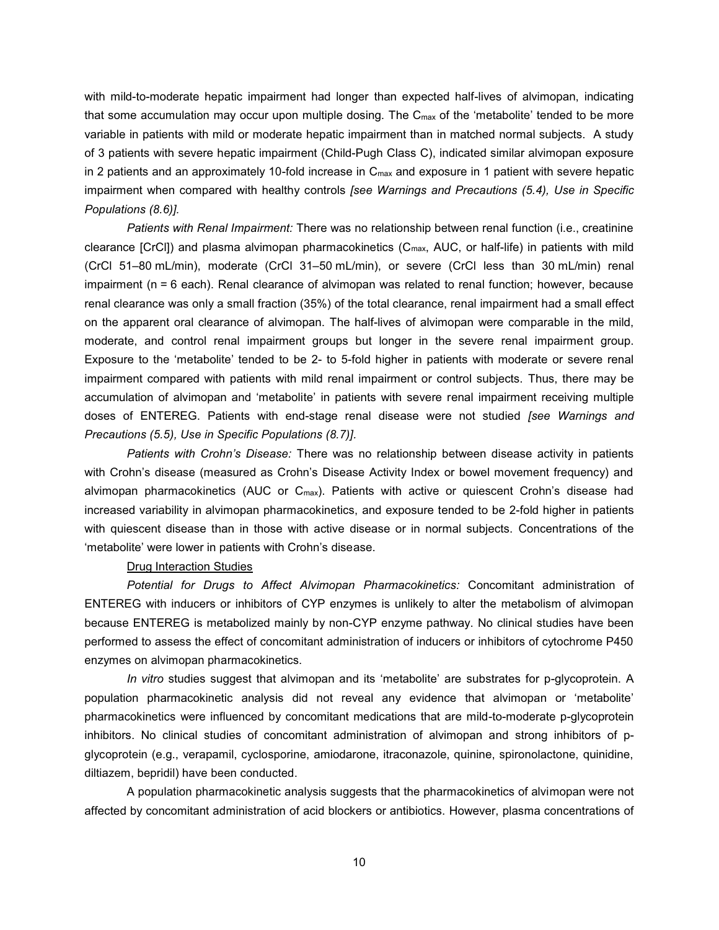with mild-to-moderate hepatic impairment had longer than expected half-lives of alvimopan, indicating that some accumulation may occur upon multiple dosing. The  $C_{\text{max}}$  of the 'metabolite' tended to be more variable in patients with mild or moderate hepatic impairment than in matched normal subjects. A study of 3 patients with severe hepatic impairment (Child-Pugh Class C), indicated similar alvimopan exposure in 2 patients and an approximately 10-fold increase in C<sub>max</sub> and exposure in 1 patient with severe hepatic impairment when compared with healthy controls *[see Warnings and Precautions (5.4), Use in Specific Populations (8.6)].*

*Patients with Renal Impairment:* There was no relationship between renal function (i.e., creatinine clearance [CrCl]) and plasma alvimopan pharmacokinetics (Cmax, AUC, or half-life) in patients with mild (CrCl 51–80 mL/min), moderate (CrCl 31–50 mL/min), or severe (CrCl less than 30 mL/min) renal impairment (n = 6 each). Renal clearance of alvimopan was related to renal function; however, because renal clearance was only a small fraction (35%) of the total clearance, renal impairment had a small effect on the apparent oral clearance of alvimopan. The half-lives of alvimopan were comparable in the mild, moderate, and control renal impairment groups but longer in the severe renal impairment group. Exposure to the 'metabolite' tended to be 2- to 5-fold higher in patients with moderate or severe renal impairment compared with patients with mild renal impairment or control subjects. Thus, there may be accumulation of alvimopan and 'metabolite' in patients with severe renal impairment receiving multiple doses of ENTEREG. Patients with end-stage renal disease were not studied *[see Warnings and Precautions (5.5), Use in Specific Populations (8.7)].*

*Patients with* Crohn's Disease: There was no relationship between disease activity in patients with Crohn's disease (measured as Crohn's Disease Activity Index or bowel movement frequency) and alvimopan pharmacokinetics (AUC or C<sub>max</sub>). Patients with active or quiescent Crohn's disease had increased variability in alvimopan pharmacokinetics, and exposure tended to be 2-fold higher in patients with quiescent disease than in those with active disease or in normal subjects. Concentrations of the 'metabolite' were lower in patients with Crohn's disease.

### Drug Interaction Studies

*Potential for Drugs to Affect Alvimopan Pharmacokinetics:* Concomitant administration of ENTEREG with inducers or inhibitors of CYP enzymes is unlikely to alter the metabolism of alvimopan because ENTEREG is metabolized mainly by non-CYP enzyme pathway. No clinical studies have been performed to assess the effect of concomitant administration of inducers or inhibitors of cytochrome P450 enzymes on alvimopan pharmacokinetics.

*In vitro* studies suggest that alvimopan and its 'metabolite' are substrates for p-glycoprotein. A population pharmacokinetic analysis did not reveal any evidence that alvimopan or 'metabolite' pharmacokinetics were influenced by concomitant medications that are mild-to-moderate p-glycoprotein inhibitors. No clinical studies of concomitant administration of alvimopan and strong inhibitors of pglycoprotein (e.g., verapamil, cyclosporine, amiodarone, itraconazole, quinine, spironolactone, quinidine, diltiazem, bepridil) have been conducted.

A population pharmacokinetic analysis suggests that the pharmacokinetics of alvimopan were not affected by concomitant administration of acid blockers or antibiotics. However, plasma concentrations of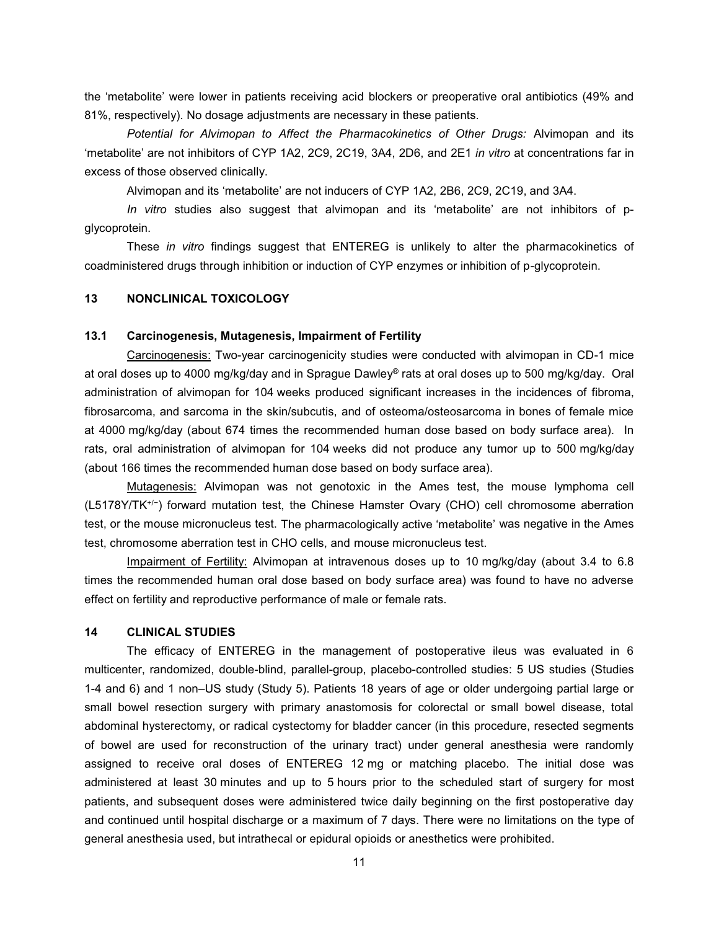the 'metabolite' were lower in patients receiving acid blockers or preoperative oral antibiotics (49% and 81%, respectively). No dosage adjustments are necessary in these patients.

*Potential for Alvimopan to Affect the Pharmacokinetics of Other Drugs:* Alvimopan and its 'metabolite' are not inhibitors of CYP 1A2, 2C9, 2C19, 3A4, 2D6, and 2E1 *in vitro* at concentrations far in excess of those observed clinically.

Alvimopan and its 'metabolite' are not inducers of CYP 1A2, 2B6, 2C9, 2C19, and 3A4.

*In vitro* studies also suggest that alvimopan and its 'metabolite' are not inhibitors of pglycoprotein.

These *in vitro* findings suggest that ENTEREG is unlikely to alter the pharmacokinetics of coadministered drugs through inhibition or induction of CYP enzymes or inhibition of p-glycoprotein.

# **13 NONCLINICAL TOXICOLOGY**

## **13.1 Carcinogenesis, Mutagenesis, Impairment of Fertility**

Carcinogenesis: Two-year carcinogenicity studies were conducted with alvimopan in CD-1 mice at oral doses up to 4000 mg/kg/day and in Sprague Dawley® rats at oral doses up to 500 mg/kg/day. Oral administration of alvimopan for 104 weeks produced significant increases in the incidences of fibroma, fibrosarcoma, and sarcoma in the skin/subcutis, and of osteoma/osteosarcoma in bones of female mice at 4000 mg/kg/day (about 674 times the recommended human dose based on body surface area). In rats, oral administration of alvimopan for 104 weeks did not produce any tumor up to 500 mg/kg/day (about 166 times the recommended human dose based on body surface area).

Mutagenesis: Alvimopan was not genotoxic in the Ames test, the mouse lymphoma cell (L5178Y/TK+/−) forward mutation test, the Chinese Hamster Ovary (CHO) cell chromosome aberration test, or the mouse micronucleus test. The pharmacologically active 'metabolite' was negative in the Ames test, chromosome aberration test in CHO cells, and mouse micronucleus test.

Impairment of Fertility: Alvimopan at intravenous doses up to 10 mg/kg/day (about 3.4 to 6.8 times the recommended human oral dose based on body surface area) was found to have no adverse effect on fertility and reproductive performance of male or female rats.

### **14 CLINICAL STUDIES**

The efficacy of ENTEREG in the management of postoperative ileus was evaluated in 6 multicenter, randomized, double-blind, parallel-group, placebo-controlled studies: 5 US studies (Studies 1-4 and 6) and 1 non–US study (Study 5). Patients 18 years of age or older undergoing partial large or small bowel resection surgery with primary anastomosis for colorectal or small bowel disease, total abdominal hysterectomy, or radical cystectomy for bladder cancer (in this procedure, resected segments of bowel are used for reconstruction of the urinary tract) under general anesthesia were randomly assigned to receive oral doses of ENTEREG 12 mg or matching placebo. The initial dose was administered at least 30 minutes and up to 5 hours prior to the scheduled start of surgery for most patients, and subsequent doses were administered twice daily beginning on the first postoperative day and continued until hospital discharge or a maximum of 7 days. There were no limitations on the type of general anesthesia used, but intrathecal or epidural opioids or anesthetics were prohibited.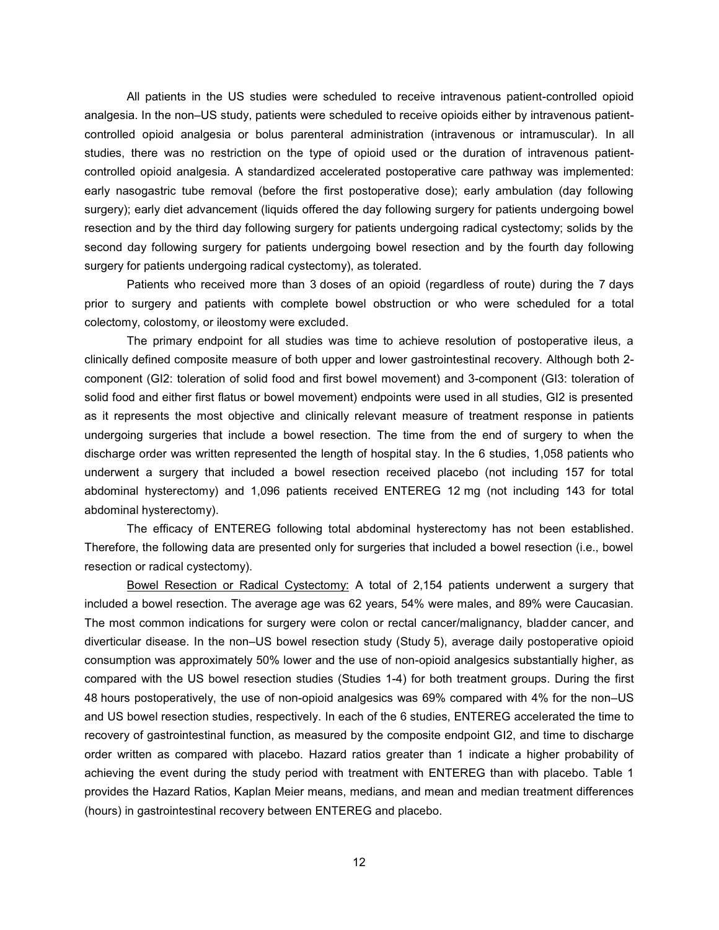All patients in the US studies were scheduled to receive intravenous patient-controlled opioid analgesia. In the non–US study, patients were scheduled to receive opioids either by intravenous patientcontrolled opioid analgesia or bolus parenteral administration (intravenous or intramuscular). In all studies, there was no restriction on the type of opioid used or the duration of intravenous patientcontrolled opioid analgesia. A standardized accelerated postoperative care pathway was implemented: early nasogastric tube removal (before the first postoperative dose); early ambulation (day following surgery); early diet advancement (liquids offered the day following surgery for patients undergoing bowel resection and by the third day following surgery for patients undergoing radical cystectomy; solids by the second day following surgery for patients undergoing bowel resection and by the fourth day following surgery for patients undergoing radical cystectomy), as tolerated.

Patients who received more than 3 doses of an opioid (regardless of route) during the 7 days prior to surgery and patients with complete bowel obstruction or who were scheduled for a total colectomy, colostomy, or ileostomy were excluded.

The primary endpoint for all studies was time to achieve resolution of postoperative ileus, a clinically defined composite measure of both upper and lower gastrointestinal recovery. Although both 2 component (GI2: toleration of solid food and first bowel movement) and 3-component (GI3: toleration of solid food and either first flatus or bowel movement) endpoints were used in all studies, GI2 is presented as it represents the most objective and clinically relevant measure of treatment response in patients undergoing surgeries that include a bowel resection. The time from the end of surgery to when the discharge order was written represented the length of hospital stay. In the 6 studies, 1,058 patients who underwent a surgery that included a bowel resection received placebo (not including 157 for total abdominal hysterectomy) and 1,096 patients received ENTEREG 12 mg (not including 143 for total abdominal hysterectomy).

The efficacy of ENTEREG following total abdominal hysterectomy has not been established. Therefore, the following data are presented only for surgeries that included a bowel resection (i.e., bowel resection or radical cystectomy).

Bowel Resection or Radical Cystectomy: A total of 2,154 patients underwent a surgery that included a bowel resection. The average age was 62 years, 54% were males, and 89% were Caucasian. The most common indications for surgery were colon or rectal cancer/malignancy, bladder cancer, and diverticular disease. In the non–US bowel resection study (Study 5), average daily postoperative opioid consumption was approximately 50% lower and the use of non-opioid analgesics substantially higher, as compared with the US bowel resection studies (Studies 1-4) for both treatment groups. During the first 48 hours postoperatively, the use of non-opioid analgesics was 69% compared with 4% for the non–US and US bowel resection studies, respectively. In each of the 6 studies, ENTEREG accelerated the time to recovery of gastrointestinal function, as measured by the composite endpoint GI2, and time to discharge order written as compared with placebo. Hazard ratios greater than 1 indicate a higher probability of achieving the event during the study period with treatment with ENTEREG than with placebo. Table 1 provides the Hazard Ratios, Kaplan Meier means, medians, and mean and median treatment differences (hours) in gastrointestinal recovery between ENTEREG and placebo.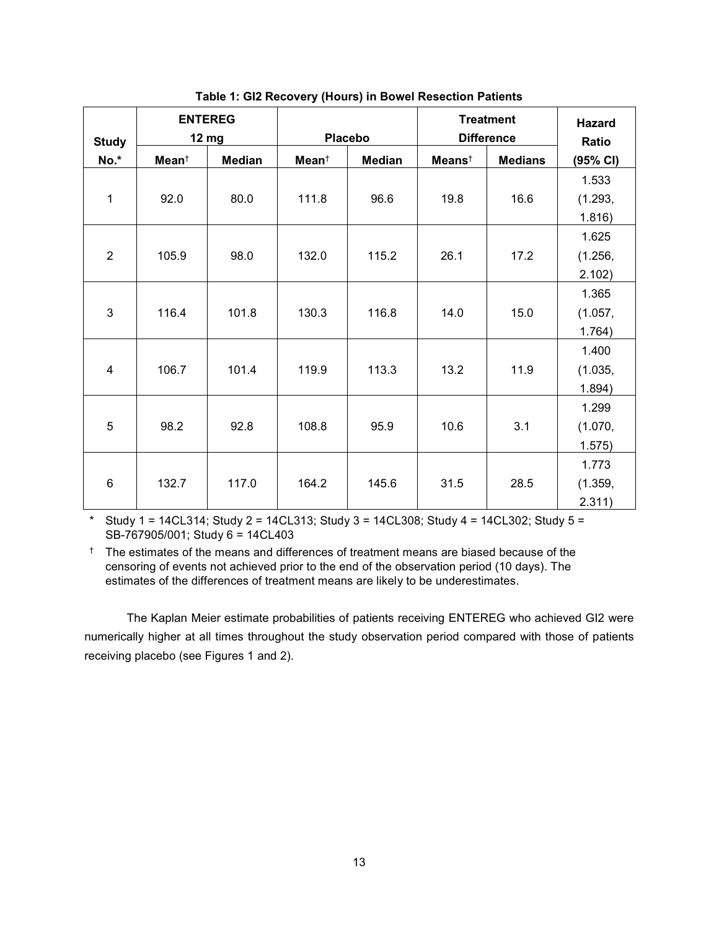| <b>Study</b>   | <b>ENTEREG</b><br><b>12 mg</b> |               | <b>Placebo</b>    |               | <b>Treatment</b><br><b>Difference</b> |                | <b>Hazard</b><br>Ratio |
|----------------|--------------------------------|---------------|-------------------|---------------|---------------------------------------|----------------|------------------------|
| No.*           | Mean <sup>†</sup>              | <b>Median</b> | Mean <sup>†</sup> | <b>Median</b> | $Meanst$                              | <b>Medians</b> | (95% CI)               |
|                |                                |               |                   |               |                                       |                | 1.533                  |
| 1              | 92.0                           | 80.0          | 111.8             | 96.6          | 19.8                                  | 16.6           | (1.293,                |
|                |                                |               |                   |               |                                       |                | 1.816)                 |
|                |                                |               |                   |               |                                       |                | 1.625                  |
| $\overline{2}$ | 105.9                          | 98.0          | 132.0             | 115.2         | 26.1                                  | 17.2           | (1.256,                |
|                |                                |               |                   |               |                                       |                | 2.102)                 |
|                |                                |               |                   |               |                                       |                | 1.365                  |
| 3              | 116.4                          | 101.8         | 130.3             | 116.8         | 14.0                                  | 15.0           | (1.057,                |
|                |                                |               |                   |               |                                       |                | 1.764)                 |
|                |                                |               |                   |               |                                       |                | 1.400                  |
| $\overline{4}$ | 106.7                          | 101.4         | 119.9             | 113.3         | 13.2                                  | 11.9           | (1.035,                |
|                |                                |               |                   |               |                                       |                | 1.894)                 |
|                |                                |               |                   |               |                                       |                | 1.299                  |
| 5              | 98.2                           | 92.8          | 108.8             | 95.9          | 10.6                                  | 3.1            | (1.070,                |
|                |                                |               |                   |               |                                       |                | 1.575)                 |
|                |                                |               |                   |               |                                       |                | 1.773                  |
| $6\phantom{1}$ | 132.7                          | 117.0         | 164.2             | 145.6         | 31.5                                  | 28.5           | (1.359,                |
|                |                                |               |                   |               |                                       |                | 2.311)                 |

**Table 1: GI2 Recovery (Hours) in Bowel Resection Patients**

\* Study 1 = 14CL314; Study 2 = 14CL313; Study 3 = 14CL308; Study 4 = 14CL302; Study 5 = SB-767905/001; Study 6 = 14CL403

† The estimates of the means and differences of treatment means are biased because of the censoring of events not achieved prior to the end of the observation period (10 days). The estimates of the differences of treatment means are likely to be underestimates.

The Kaplan Meier estimate probabilities of patients receiving ENTEREG who achieved GI2 were numerically higher at all times throughout the study observation period compared with those of patients receiving placebo (see Figures 1 and 2).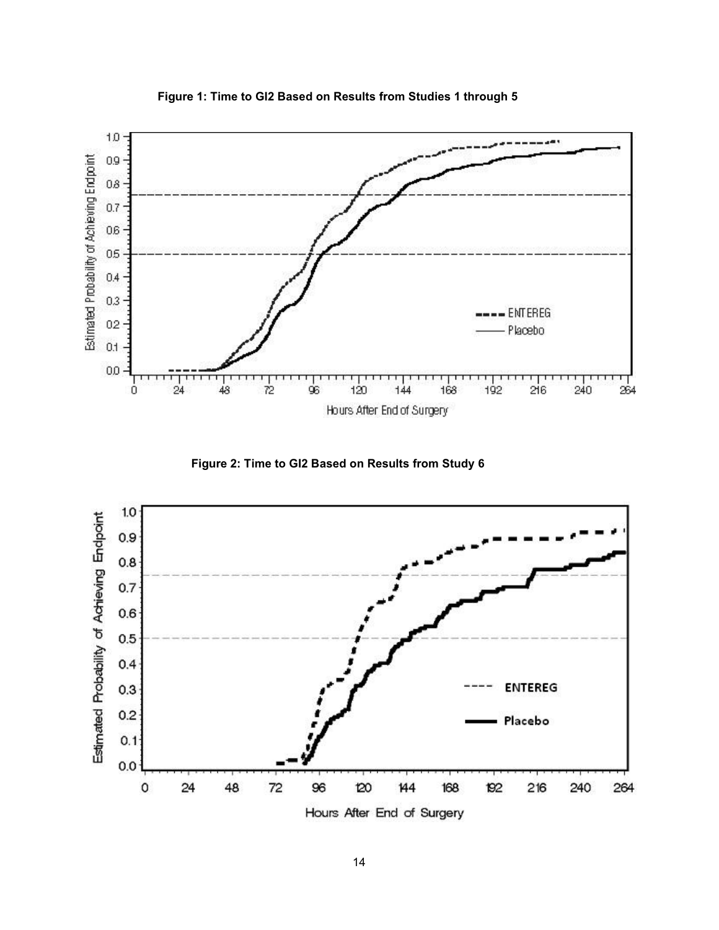

**Figure 1: Time to GI2 Based on Results from Studies 1 through 5**

**Figure 2: Time to GI2 Based on Results from Study 6**



Hours After End of Surgery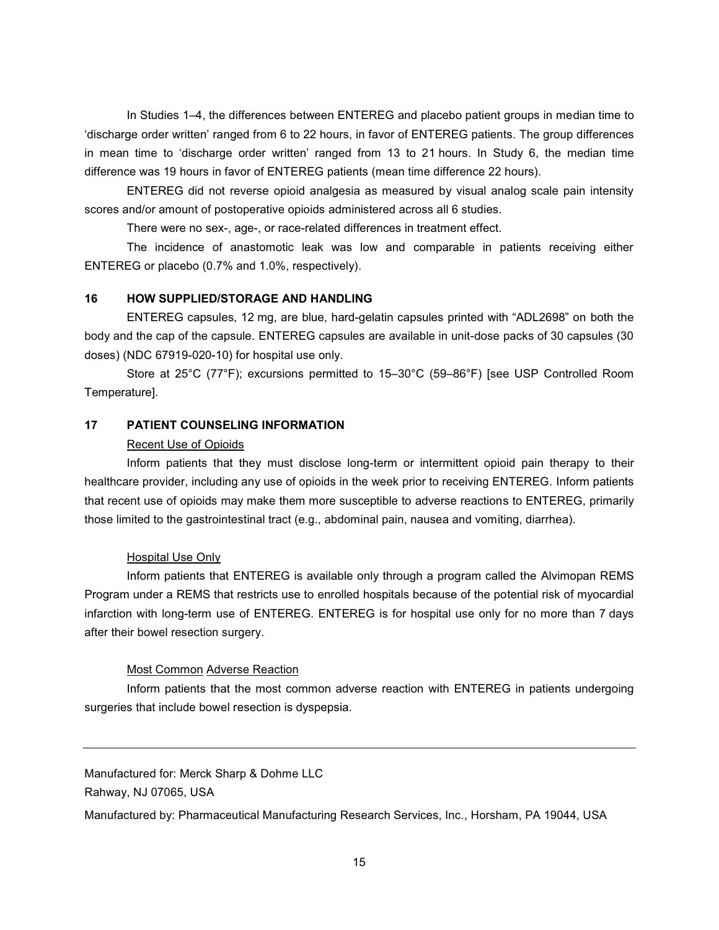In Studies 1–4, the differences between ENTEREG and placebo patient groups in median time to 'discharge order written' ranged from 6 to 22 hours, in favor of ENTEREG patients. The group differences in mean time to 'discharge order written' ranged from 13 to 21 hours. In Study 6, the median time difference was 19 hours in favor of ENTEREG patients (mean time difference 22 hours).

ENTEREG did not reverse opioid analgesia as measured by visual analog scale pain intensity scores and/or amount of postoperative opioids administered across all 6 studies.

There were no sex-, age-, or race-related differences in treatment effect.

The incidence of anastomotic leak was low and comparable in patients receiving either ENTEREG or placebo (0.7% and 1.0%, respectively).

# **16 HOW SUPPLIED/STORAGE AND HANDLING**

ENTEREG capsules, 12 mg, are blue, hard-gelatin capsules printed with "ADL2698" on both the body and the cap of the capsule. ENTEREG capsules are available in unit-dose packs of 30 capsules (30 doses) (NDC 67919-020-10) for hospital use only.

Store at 25°C (77°F); excursions permitted to 15–30°C (59–86°F) [see USP Controlled Room Temperature].

# **17 PATIENT COUNSELING INFORMATION**

### Recent Use of Opioids

Inform patients that they must disclose long-term or intermittent opioid pain therapy to their healthcare provider, including any use of opioids in the week prior to receiving ENTEREG. Inform patients that recent use of opioids may make them more susceptible to adverse reactions to ENTEREG, primarily those limited to the gastrointestinal tract (e.g., abdominal pain, nausea and vomiting, diarrhea).

### Hospital Use Only

Inform patients that ENTEREG is available only through a program called the Alvimopan REMS Program under a REMS that restricts use to enrolled hospitals because of the potential risk of myocardial infarction with long-term use of ENTEREG. ENTEREG is for hospital use only for no more than 7 days after their bowel resection surgery.

### Most Common Adverse Reaction

Inform patients that the most common adverse reaction with ENTEREG in patients undergoing surgeries that include bowel resection is dyspepsia.

Manufactured for: Merck Sharp & Dohme LLC Rahway, NJ 07065, USA

Manufactured by: Pharmaceutical Manufacturing Research Services, Inc., Horsham, PA 19044, USA